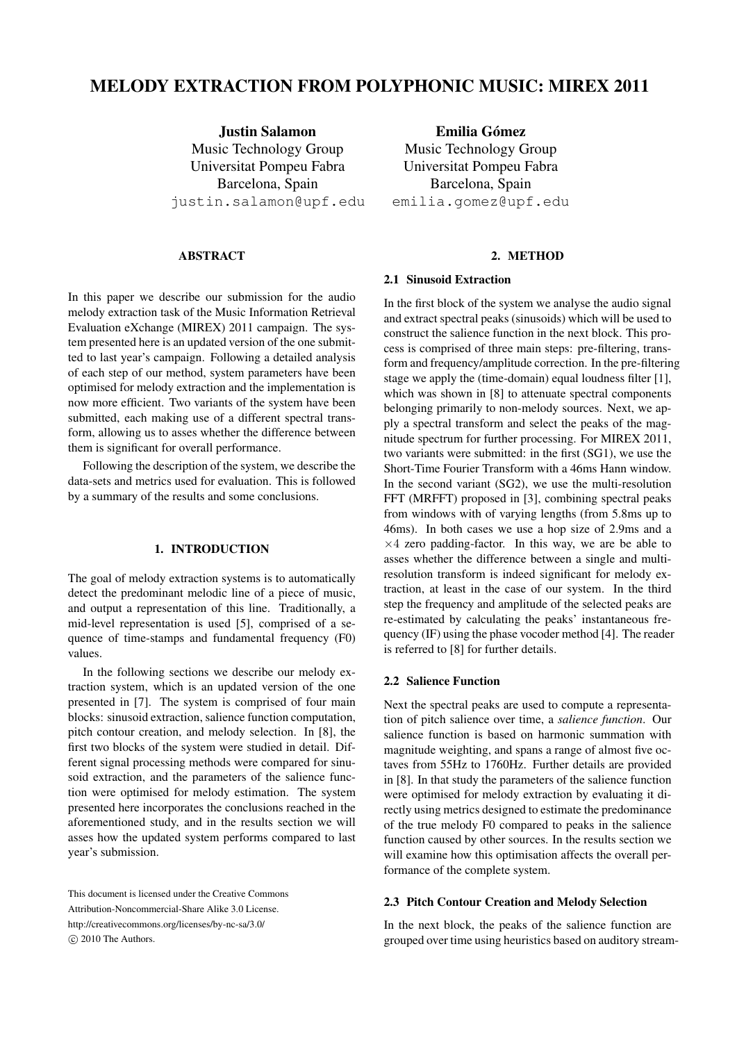# MELODY EXTRACTION FROM POLYPHONIC MUSIC: MIREX 2011

Justin Salamon Music Technology Group Universitat Pompeu Fabra Barcelona, Spain justin.salamon@upf.edu

#### ABSTRACT

In this paper we describe our submission for the audio melody extraction task of the Music Information Retrieval Evaluation eXchange (MIREX) 2011 campaign. The system presented here is an updated version of the one submitted to last year's campaign. Following a detailed analysis of each step of our method, system parameters have been optimised for melody extraction and the implementation is now more efficient. Two variants of the system have been submitted, each making use of a different spectral transform, allowing us to asses whether the difference between them is significant for overall performance.

Following the description of the system, we describe the data-sets and metrics used for evaluation. This is followed by a summary of the results and some conclusions.

## 1. INTRODUCTION

The goal of melody extraction systems is to automatically detect the predominant melodic line of a piece of music, and output a representation of this line. Traditionally, a mid-level representation is used [5], comprised of a sequence of time-stamps and fundamental frequency (F0) values.

In the following sections we describe our melody extraction system, which is an updated version of the one presented in [7]. The system is comprised of four main blocks: sinusoid extraction, salience function computation, pitch contour creation, and melody selection. In [8], the first two blocks of the system were studied in detail. Different signal processing methods were compared for sinusoid extraction, and the parameters of the salience function were optimised for melody estimation. The system presented here incorporates the conclusions reached in the aforementioned study, and in the results section we will asses how the updated system performs compared to last year's submission.

Emilia Gómez Music Technology Group Universitat Pompeu Fabra Barcelona, Spain emilia.gomez@upf.edu

#### 2. METHOD

## 2.1 Sinusoid Extraction

In the first block of the system we analyse the audio signal and extract spectral peaks (sinusoids) which will be used to construct the salience function in the next block. This process is comprised of three main steps: pre-filtering, transform and frequency/amplitude correction. In the pre-filtering stage we apply the (time-domain) equal loudness filter [1], which was shown in [8] to attenuate spectral components belonging primarily to non-melody sources. Next, we apply a spectral transform and select the peaks of the magnitude spectrum for further processing. For MIREX 2011, two variants were submitted: in the first (SG1), we use the Short-Time Fourier Transform with a 46ms Hann window. In the second variant (SG2), we use the multi-resolution FFT (MRFFT) proposed in [3], combining spectral peaks from windows with of varying lengths (from 5.8ms up to 46ms). In both cases we use a hop size of 2.9ms and a  $\times$ 4 zero padding-factor. In this way, we are be able to asses whether the difference between a single and multiresolution transform is indeed significant for melody extraction, at least in the case of our system. In the third step the frequency and amplitude of the selected peaks are re-estimated by calculating the peaks' instantaneous frequency (IF) using the phase vocoder method [4]. The reader is referred to [8] for further details.

#### 2.2 Salience Function

Next the spectral peaks are used to compute a representation of pitch salience over time, a *salience function*. Our salience function is based on harmonic summation with magnitude weighting, and spans a range of almost five octaves from 55Hz to 1760Hz. Further details are provided in [8]. In that study the parameters of the salience function were optimised for melody extraction by evaluating it directly using metrics designed to estimate the predominance of the true melody F0 compared to peaks in the salience function caused by other sources. In the results section we will examine how this optimisation affects the overall performance of the complete system.

## 2.3 Pitch Contour Creation and Melody Selection

In the next block, the peaks of the salience function are grouped over time using heuristics based on auditory stream-

This document is licensed under the Creative Commons Attribution-Noncommercial-Share Alike 3.0 License. http://creativecommons.org/licenses/by-nc-sa/3.0/ C 2010 The Authors.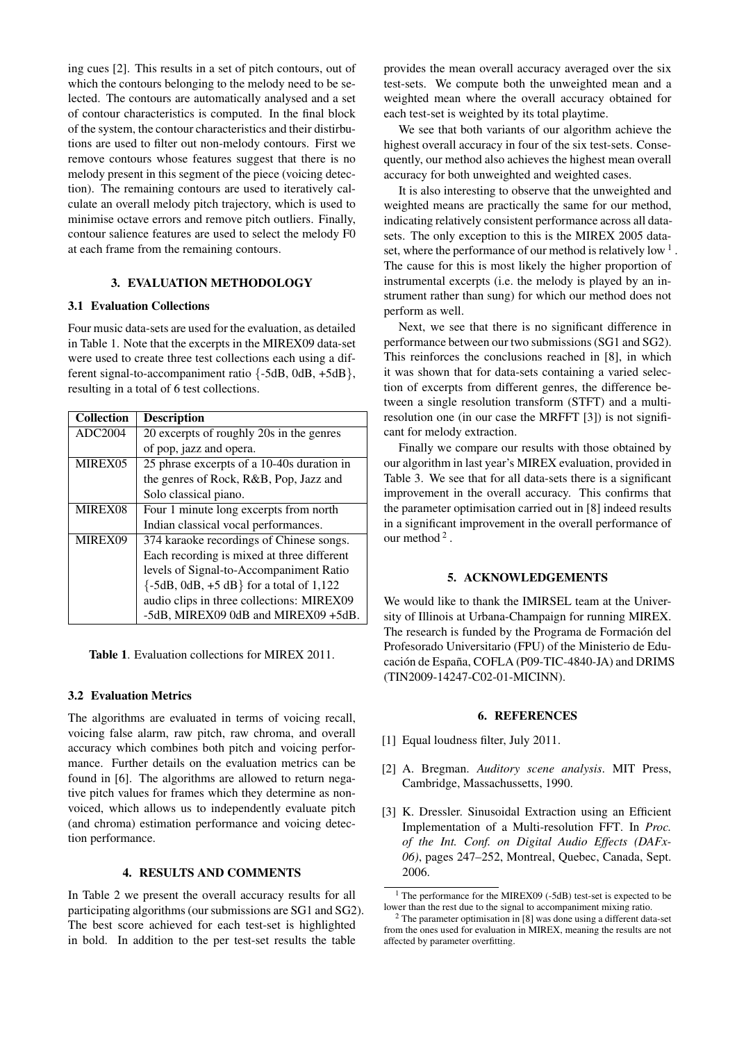ing cues [2]. This results in a set of pitch contours, out of which the contours belonging to the melody need to be selected. The contours are automatically analysed and a set of contour characteristics is computed. In the final block of the system, the contour characteristics and their distirbutions are used to filter out non-melody contours. First we remove contours whose features suggest that there is no melody present in this segment of the piece (voicing detection). The remaining contours are used to iteratively calculate an overall melody pitch trajectory, which is used to minimise octave errors and remove pitch outliers. Finally, contour salience features are used to select the melody F0 at each frame from the remaining contours.

#### 3. EVALUATION METHODOLOGY

#### 3.1 Evaluation Collections

Four music data-sets are used for the evaluation, as detailed in Table 1. Note that the excerpts in the MIREX09 data-set were used to create three test collections each using a different signal-to-accompaniment ratio {-5dB, 0dB, +5dB}, resulting in a total of 6 test collections.

| <b>Collection</b>   | <b>Description</b>                         |  |  |  |  |  |
|---------------------|--------------------------------------------|--|--|--|--|--|
| ADC2004             | 20 excerpts of roughly 20s in the genres   |  |  |  |  |  |
|                     | of pop, jazz and opera.                    |  |  |  |  |  |
| MIREX <sub>05</sub> | 25 phrase excerpts of a 10-40s duration in |  |  |  |  |  |
|                     | the genres of Rock, R&B, Pop, Jazz and     |  |  |  |  |  |
|                     | Solo classical piano.                      |  |  |  |  |  |
| MIREX08             | Four 1 minute long excerpts from north     |  |  |  |  |  |
|                     | Indian classical vocal performances.       |  |  |  |  |  |
| MIREX09             | 374 karaoke recordings of Chinese songs.   |  |  |  |  |  |
|                     | Each recording is mixed at three different |  |  |  |  |  |
|                     | levels of Signal-to-Accompaniment Ratio    |  |  |  |  |  |
|                     | $\{-5dB, OdB, +5dB\}$ for a total of 1,122 |  |  |  |  |  |
|                     | audio clips in three collections: MIREX09  |  |  |  |  |  |
|                     | -5dB, MIREX09 0dB and MIREX09 +5dB.        |  |  |  |  |  |

Table 1. Evaluation collections for MIREX 2011.

# 3.2 Evaluation Metrics

The algorithms are evaluated in terms of voicing recall, voicing false alarm, raw pitch, raw chroma, and overall accuracy which combines both pitch and voicing performance. Further details on the evaluation metrics can be found in [6]. The algorithms are allowed to return negative pitch values for frames which they determine as nonvoiced, which allows us to independently evaluate pitch (and chroma) estimation performance and voicing detection performance.

# 4. RESULTS AND COMMENTS

In Table 2 we present the overall accuracy results for all participating algorithms (our submissions are SG1 and SG2). The best score achieved for each test-set is highlighted in bold. In addition to the per test-set results the table

provides the mean overall accuracy averaged over the six test-sets. We compute both the unweighted mean and a weighted mean where the overall accuracy obtained for each test-set is weighted by its total playtime.

We see that both variants of our algorithm achieve the highest overall accuracy in four of the six test-sets. Consequently, our method also achieves the highest mean overall accuracy for both unweighted and weighted cases.

It is also interesting to observe that the unweighted and weighted means are practically the same for our method, indicating relatively consistent performance across all datasets. The only exception to this is the MIREX 2005 dataset, where the performance of our method is relatively low  $1$ . The cause for this is most likely the higher proportion of instrumental excerpts (i.e. the melody is played by an instrument rather than sung) for which our method does not perform as well.

Next, we see that there is no significant difference in performance between our two submissions (SG1 and SG2). This reinforces the conclusions reached in [8], in which it was shown that for data-sets containing a varied selection of excerpts from different genres, the difference between a single resolution transform (STFT) and a multiresolution one (in our case the MRFFT [3]) is not significant for melody extraction.

Finally we compare our results with those obtained by our algorithm in last year's MIREX evaluation, provided in Table 3. We see that for all data-sets there is a significant improvement in the overall accuracy. This confirms that the parameter optimisation carried out in [8] indeed results in a significant improvement in the overall performance of our method  $2$ .

## 5. ACKNOWLEDGEMENTS

We would like to thank the IMIRSEL team at the University of Illinois at Urbana-Champaign for running MIREX. The research is funded by the Programa de Formación del Profesorado Universitario (FPU) of the Ministerio de Educación de España, COFLA (P09-TIC-4840-JA) and DRIMS (TIN2009-14247-C02-01-MICINN).

## 6. REFERENCES

- [1] Equal loudness filter, July 2011.
- [2] A. Bregman. *Auditory scene analysis*. MIT Press, Cambridge, Massachussetts, 1990.
- [3] K. Dressler. Sinusoidal Extraction using an Efficient Implementation of a Multi-resolution FFT. In *Proc. of the Int. Conf. on Digital Audio Effects (DAFx-06)*, pages 247–252, Montreal, Quebec, Canada, Sept. 2006.

 $1$  The performance for the MIREX09 (-5dB) test-set is expected to be lower than the rest due to the signal to accompaniment mixing ratio.

<sup>2</sup> The parameter optimisation in [8] was done using a different data-set from the ones used for evaluation in MIREX, meaning the results are not affected by parameter overfitting.